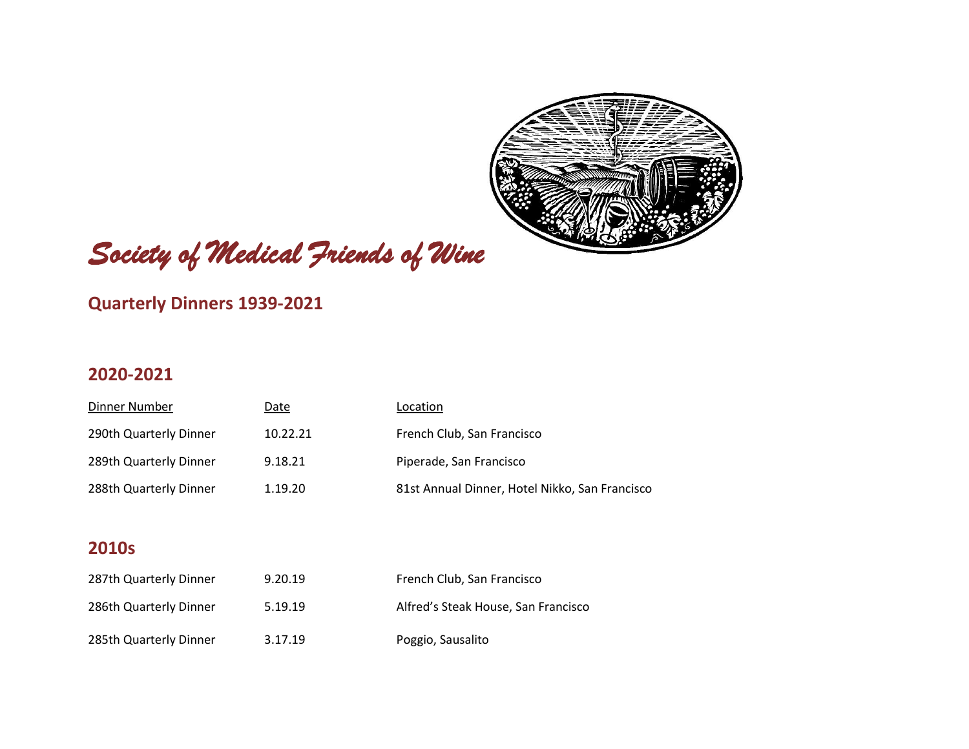

# Society of Medical Friends of Wine

### **Quarterly Dinners 1939-2021**

#### **2020-2021**

| Dinner Number          | Date     | Location                                       |
|------------------------|----------|------------------------------------------------|
| 290th Quarterly Dinner | 10.22.21 | French Club, San Francisco                     |
| 289th Quarterly Dinner | 9.18.21  | Piperade, San Francisco                        |
| 288th Quarterly Dinner | 1.19.20  | 81st Annual Dinner, Hotel Nikko, San Francisco |

| 287th Quarterly Dinner | 9.20.19 | French Club, San Francisco          |
|------------------------|---------|-------------------------------------|
| 286th Quarterly Dinner | 5.19.19 | Alfred's Steak House, San Francisco |
| 285th Quarterly Dinner | 3.17.19 | Poggio, Sausalito                   |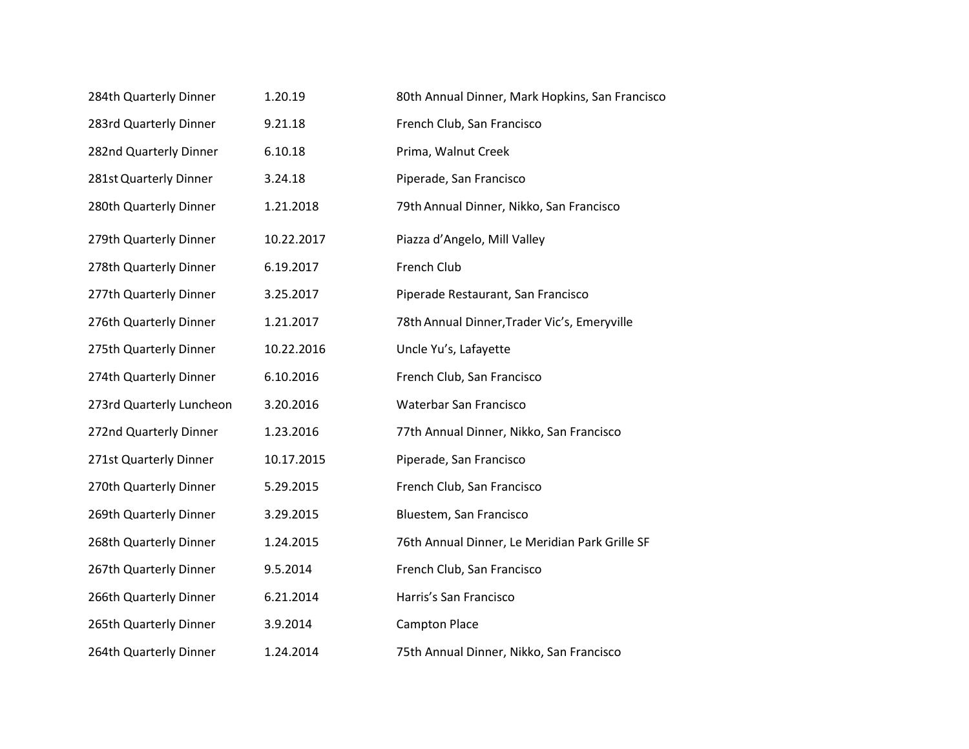| 284th Quarterly Dinner   | 1.20.19    | 80th Annual Dinner, Mark Hopkins, San Francisco |
|--------------------------|------------|-------------------------------------------------|
| 283rd Quarterly Dinner   | 9.21.18    | French Club, San Francisco                      |
| 282nd Quarterly Dinner   | 6.10.18    | Prima, Walnut Creek                             |
| 281st Quarterly Dinner   | 3.24.18    | Piperade, San Francisco                         |
| 280th Quarterly Dinner   | 1.21.2018  | 79th Annual Dinner, Nikko, San Francisco        |
| 279th Quarterly Dinner   | 10.22.2017 | Piazza d'Angelo, Mill Valley                    |
| 278th Quarterly Dinner   | 6.19.2017  | French Club                                     |
| 277th Quarterly Dinner   | 3.25.2017  | Piperade Restaurant, San Francisco              |
| 276th Quarterly Dinner   | 1.21.2017  | 78th Annual Dinner, Trader Vic's, Emeryville    |
| 275th Quarterly Dinner   | 10.22.2016 | Uncle Yu's, Lafayette                           |
| 274th Quarterly Dinner   | 6.10.2016  | French Club, San Francisco                      |
| 273rd Quarterly Luncheon | 3.20.2016  | Waterbar San Francisco                          |
| 272nd Quarterly Dinner   | 1.23.2016  | 77th Annual Dinner, Nikko, San Francisco        |
| 271st Quarterly Dinner   | 10.17.2015 | Piperade, San Francisco                         |
| 270th Quarterly Dinner   | 5.29.2015  | French Club, San Francisco                      |
| 269th Quarterly Dinner   | 3.29.2015  | Bluestem, San Francisco                         |
| 268th Quarterly Dinner   | 1.24.2015  | 76th Annual Dinner, Le Meridian Park Grille SF  |
| 267th Quarterly Dinner   | 9.5.2014   | French Club, San Francisco                      |
| 266th Quarterly Dinner   | 6.21.2014  | Harris's San Francisco                          |
| 265th Quarterly Dinner   | 3.9.2014   | <b>Campton Place</b>                            |
| 264th Quarterly Dinner   | 1.24.2014  | 75th Annual Dinner, Nikko, San Francisco        |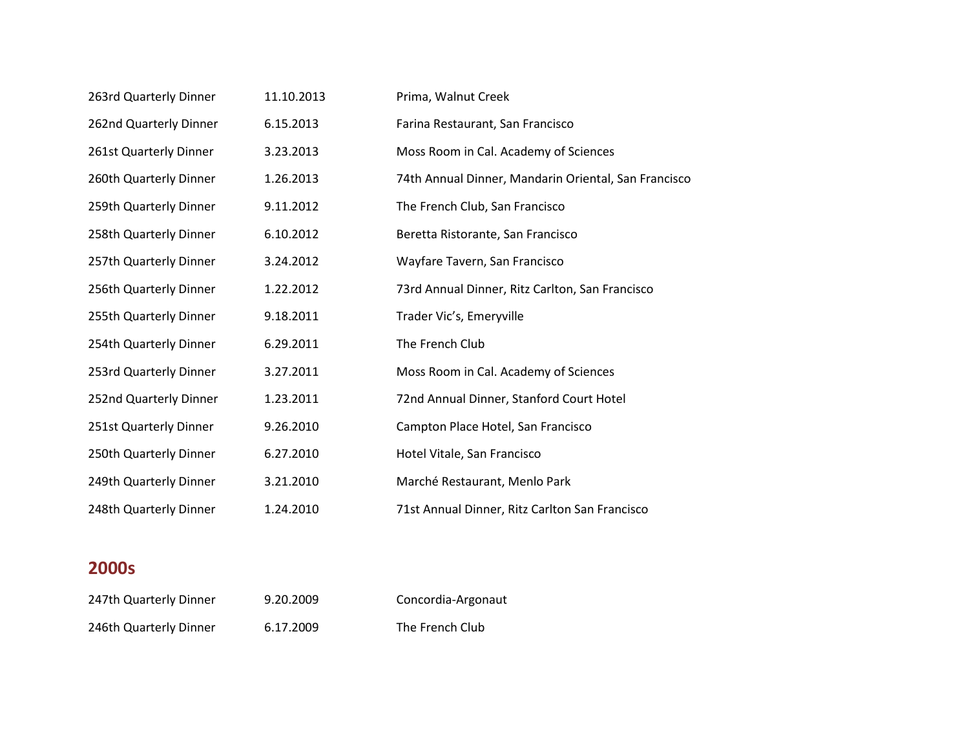| 263rd Quarterly Dinner | 11.10.2013 | Prima, Walnut Creek                                  |
|------------------------|------------|------------------------------------------------------|
| 262nd Quarterly Dinner | 6.15.2013  | Farina Restaurant, San Francisco                     |
| 261st Quarterly Dinner | 3.23.2013  | Moss Room in Cal. Academy of Sciences                |
| 260th Quarterly Dinner | 1.26.2013  | 74th Annual Dinner, Mandarin Oriental, San Francisco |
| 259th Quarterly Dinner | 9.11.2012  | The French Club, San Francisco                       |
| 258th Quarterly Dinner | 6.10.2012  | Beretta Ristorante, San Francisco                    |
| 257th Quarterly Dinner | 3.24.2012  | Wayfare Tavern, San Francisco                        |
| 256th Quarterly Dinner | 1.22.2012  | 73rd Annual Dinner, Ritz Carlton, San Francisco      |
| 255th Quarterly Dinner | 9.18.2011  | Trader Vic's, Emeryville                             |
| 254th Quarterly Dinner | 6.29.2011  | The French Club                                      |
| 253rd Quarterly Dinner | 3.27.2011  | Moss Room in Cal. Academy of Sciences                |
| 252nd Quarterly Dinner | 1.23.2011  | 72nd Annual Dinner, Stanford Court Hotel             |
| 251st Quarterly Dinner | 9.26.2010  | Campton Place Hotel, San Francisco                   |
| 250th Quarterly Dinner | 6.27.2010  | Hotel Vitale, San Francisco                          |
| 249th Quarterly Dinner | 3.21.2010  | Marché Restaurant, Menlo Park                        |
| 248th Quarterly Dinner | 1.24.2010  | 71st Annual Dinner, Ritz Carlton San Francisco       |

| 247th Quarterly Dinner | 9.20.2009 | Concordia-Argonaut |
|------------------------|-----------|--------------------|
| 246th Quarterly Dinner | 6.17.2009 | The French Club    |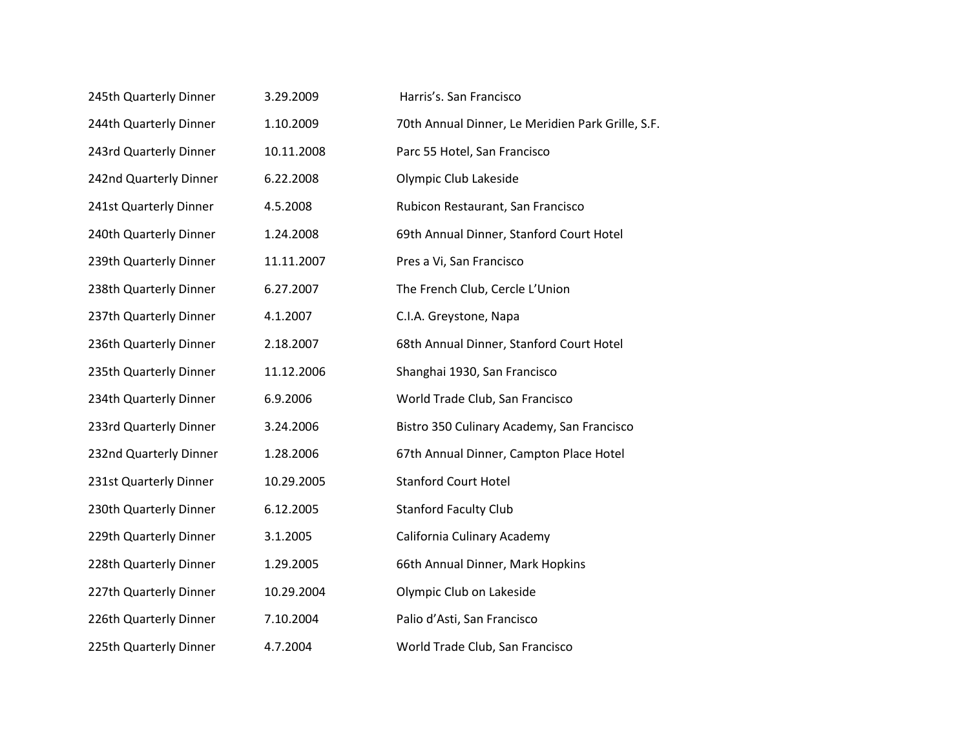| 245th Quarterly Dinner | 3.29.2009  | Harris's. San Francisco                           |
|------------------------|------------|---------------------------------------------------|
| 244th Quarterly Dinner | 1.10.2009  | 70th Annual Dinner, Le Meridien Park Grille, S.F. |
| 243rd Quarterly Dinner | 10.11.2008 | Parc 55 Hotel, San Francisco                      |
| 242nd Quarterly Dinner | 6.22.2008  | Olympic Club Lakeside                             |
| 241st Quarterly Dinner | 4.5.2008   | Rubicon Restaurant, San Francisco                 |
| 240th Quarterly Dinner | 1.24.2008  | 69th Annual Dinner, Stanford Court Hotel          |
| 239th Quarterly Dinner | 11.11.2007 | Pres a Vi, San Francisco                          |
| 238th Quarterly Dinner | 6.27.2007  | The French Club, Cercle L'Union                   |
| 237th Quarterly Dinner | 4.1.2007   | C.I.A. Greystone, Napa                            |
| 236th Quarterly Dinner | 2.18.2007  | 68th Annual Dinner, Stanford Court Hotel          |
| 235th Quarterly Dinner | 11.12.2006 | Shanghai 1930, San Francisco                      |
| 234th Quarterly Dinner | 6.9.2006   | World Trade Club, San Francisco                   |
| 233rd Quarterly Dinner | 3.24.2006  | Bistro 350 Culinary Academy, San Francisco        |
| 232nd Quarterly Dinner | 1.28.2006  | 67th Annual Dinner, Campton Place Hotel           |
| 231st Quarterly Dinner | 10.29.2005 | <b>Stanford Court Hotel</b>                       |
| 230th Quarterly Dinner | 6.12.2005  | <b>Stanford Faculty Club</b>                      |
| 229th Quarterly Dinner | 3.1.2005   | California Culinary Academy                       |
| 228th Quarterly Dinner | 1.29.2005  | 66th Annual Dinner, Mark Hopkins                  |
| 227th Quarterly Dinner | 10.29.2004 | Olympic Club on Lakeside                          |
| 226th Quarterly Dinner | 7.10.2004  | Palio d'Asti, San Francisco                       |
| 225th Quarterly Dinner | 4.7.2004   | World Trade Club, San Francisco                   |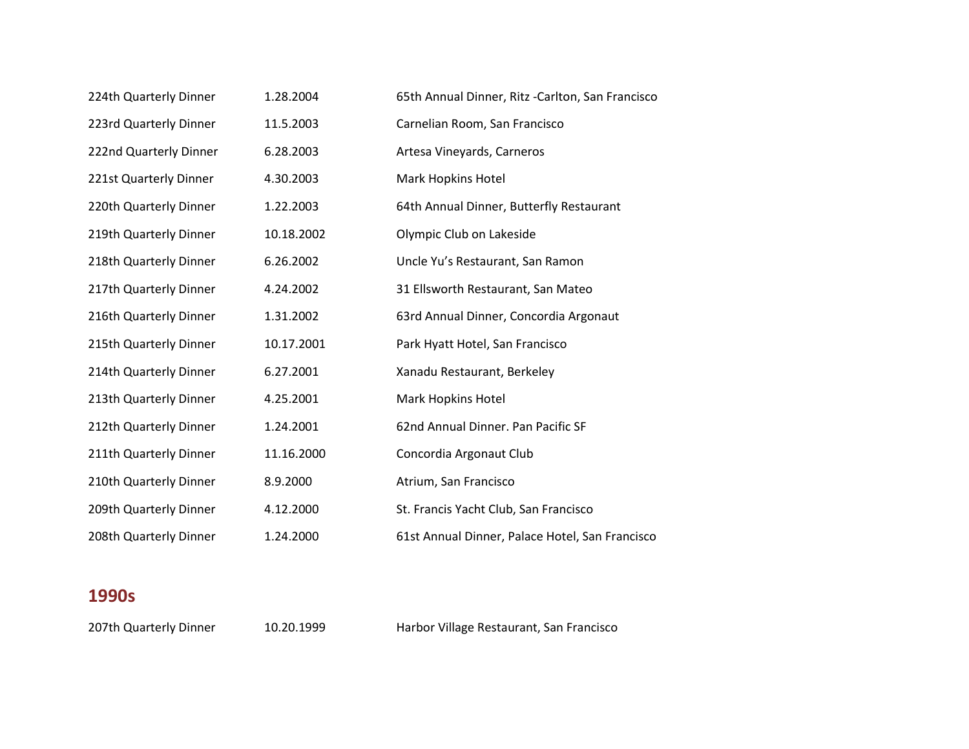| 224th Quarterly Dinner | 1.28.2004  | 65th Annual Dinner, Ritz -Carlton, San Francisco |
|------------------------|------------|--------------------------------------------------|
| 223rd Quarterly Dinner | 11.5.2003  | Carnelian Room, San Francisco                    |
| 222nd Quarterly Dinner | 6.28.2003  | Artesa Vineyards, Carneros                       |
| 221st Quarterly Dinner | 4.30.2003  | Mark Hopkins Hotel                               |
| 220th Quarterly Dinner | 1.22.2003  | 64th Annual Dinner, Butterfly Restaurant         |
| 219th Quarterly Dinner | 10.18.2002 | Olympic Club on Lakeside                         |
| 218th Quarterly Dinner | 6.26.2002  | Uncle Yu's Restaurant, San Ramon                 |
| 217th Quarterly Dinner | 4.24.2002  | 31 Ellsworth Restaurant, San Mateo               |
| 216th Quarterly Dinner | 1.31.2002  | 63rd Annual Dinner, Concordia Argonaut           |
| 215th Quarterly Dinner | 10.17.2001 | Park Hyatt Hotel, San Francisco                  |
| 214th Quarterly Dinner | 6.27.2001  | Xanadu Restaurant, Berkeley                      |
| 213th Quarterly Dinner | 4.25.2001  | Mark Hopkins Hotel                               |
| 212th Quarterly Dinner | 1.24.2001  | 62nd Annual Dinner. Pan Pacific SF               |
| 211th Quarterly Dinner | 11.16.2000 | Concordia Argonaut Club                          |
| 210th Quarterly Dinner | 8.9.2000   | Atrium, San Francisco                            |
| 209th Quarterly Dinner | 4.12.2000  | St. Francis Yacht Club, San Francisco            |
| 208th Quarterly Dinner | 1.24.2000  | 61st Annual Dinner, Palace Hotel, San Francisco  |

207th Quarterly Dinner 10.20.1999 Harbor Village Restaurant, San Francisco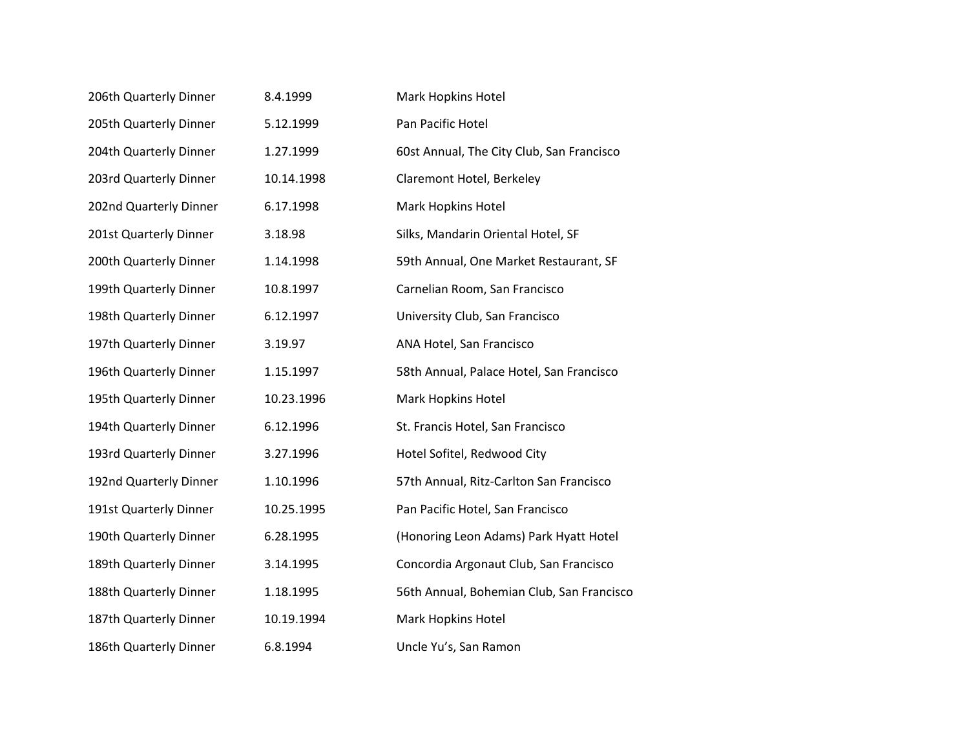| 206th Quarterly Dinner | 8.4.1999   | Mark Hopkins Hotel                        |
|------------------------|------------|-------------------------------------------|
| 205th Quarterly Dinner | 5.12.1999  | Pan Pacific Hotel                         |
| 204th Quarterly Dinner | 1.27.1999  | 60st Annual, The City Club, San Francisco |
| 203rd Quarterly Dinner | 10.14.1998 | Claremont Hotel, Berkeley                 |
| 202nd Quarterly Dinner | 6.17.1998  | Mark Hopkins Hotel                        |
| 201st Quarterly Dinner | 3.18.98    | Silks, Mandarin Oriental Hotel, SF        |
| 200th Quarterly Dinner | 1.14.1998  | 59th Annual, One Market Restaurant, SF    |
| 199th Quarterly Dinner | 10.8.1997  | Carnelian Room, San Francisco             |
| 198th Quarterly Dinner | 6.12.1997  | University Club, San Francisco            |
| 197th Quarterly Dinner | 3.19.97    | ANA Hotel, San Francisco                  |
| 196th Quarterly Dinner | 1.15.1997  | 58th Annual, Palace Hotel, San Francisco  |
| 195th Quarterly Dinner | 10.23.1996 | Mark Hopkins Hotel                        |
| 194th Quarterly Dinner | 6.12.1996  | St. Francis Hotel, San Francisco          |
| 193rd Quarterly Dinner | 3.27.1996  | Hotel Sofitel, Redwood City               |
| 192nd Quarterly Dinner | 1.10.1996  | 57th Annual, Ritz-Carlton San Francisco   |
| 191st Quarterly Dinner | 10.25.1995 | Pan Pacific Hotel, San Francisco          |
| 190th Quarterly Dinner | 6.28.1995  | (Honoring Leon Adams) Park Hyatt Hotel    |
| 189th Quarterly Dinner | 3.14.1995  | Concordia Argonaut Club, San Francisco    |
| 188th Quarterly Dinner | 1.18.1995  | 56th Annual, Bohemian Club, San Francisco |
| 187th Quarterly Dinner | 10.19.1994 | Mark Hopkins Hotel                        |
| 186th Quarterly Dinner | 6.8.1994   | Uncle Yu's, San Ramon                     |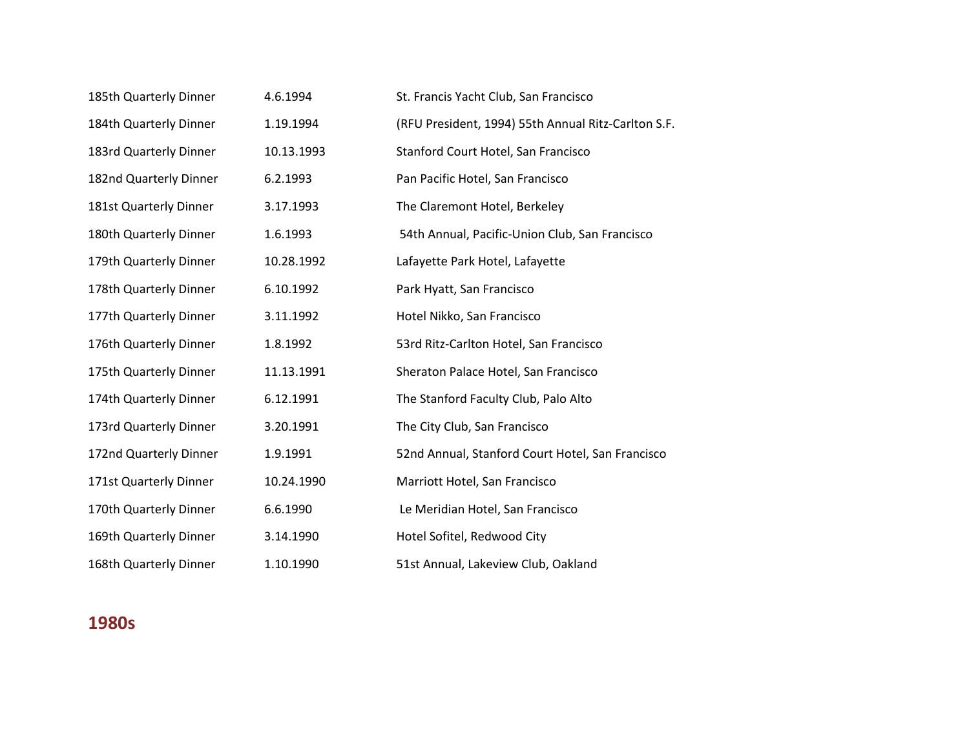| 185th Quarterly Dinner | 4.6.1994   | St. Francis Yacht Club, San Francisco               |
|------------------------|------------|-----------------------------------------------------|
| 184th Quarterly Dinner | 1.19.1994  | (RFU President, 1994) 55th Annual Ritz-Carlton S.F. |
| 183rd Quarterly Dinner | 10.13.1993 | Stanford Court Hotel, San Francisco                 |
| 182nd Quarterly Dinner | 6.2.1993   | Pan Pacific Hotel, San Francisco                    |
| 181st Quarterly Dinner | 3.17.1993  | The Claremont Hotel, Berkeley                       |
| 180th Quarterly Dinner | 1.6.1993   | 54th Annual, Pacific-Union Club, San Francisco      |
| 179th Quarterly Dinner | 10.28.1992 | Lafayette Park Hotel, Lafayette                     |
| 178th Quarterly Dinner | 6.10.1992  | Park Hyatt, San Francisco                           |
| 177th Quarterly Dinner | 3.11.1992  | Hotel Nikko, San Francisco                          |
| 176th Quarterly Dinner | 1.8.1992   | 53rd Ritz-Carlton Hotel, San Francisco              |
| 175th Quarterly Dinner | 11.13.1991 | Sheraton Palace Hotel, San Francisco                |
| 174th Quarterly Dinner | 6.12.1991  | The Stanford Faculty Club, Palo Alto                |
| 173rd Quarterly Dinner | 3.20.1991  | The City Club, San Francisco                        |
| 172nd Quarterly Dinner | 1.9.1991   | 52nd Annual, Stanford Court Hotel, San Francisco    |
| 171st Quarterly Dinner | 10.24.1990 | Marriott Hotel, San Francisco                       |
| 170th Quarterly Dinner | 6.6.1990   | Le Meridian Hotel, San Francisco                    |
| 169th Quarterly Dinner | 3.14.1990  | Hotel Sofitel, Redwood City                         |
| 168th Quarterly Dinner | 1.10.1990  | 51st Annual, Lakeview Club, Oakland                 |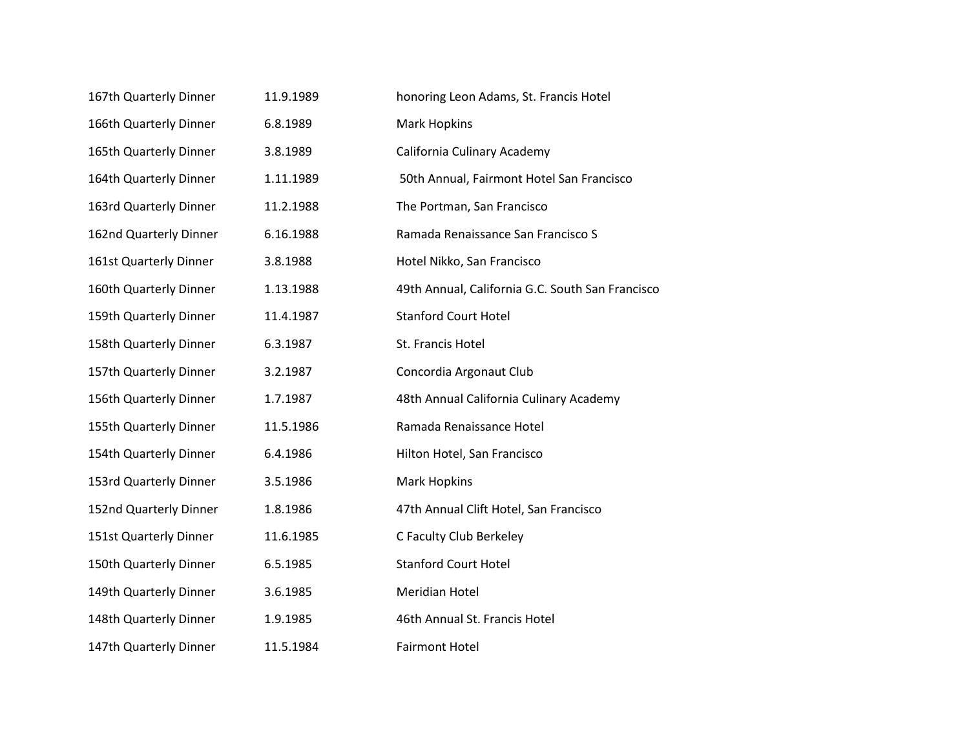| 167th Quarterly Dinner | 11.9.1989 | honoring Leon Adams, St. Francis Hotel           |
|------------------------|-----------|--------------------------------------------------|
| 166th Quarterly Dinner | 6.8.1989  | <b>Mark Hopkins</b>                              |
| 165th Quarterly Dinner | 3.8.1989  | California Culinary Academy                      |
| 164th Quarterly Dinner | 1.11.1989 | 50th Annual, Fairmont Hotel San Francisco        |
| 163rd Quarterly Dinner | 11.2.1988 | The Portman, San Francisco                       |
| 162nd Quarterly Dinner | 6.16.1988 | Ramada Renaissance San Francisco S               |
| 161st Quarterly Dinner | 3.8.1988  | Hotel Nikko, San Francisco                       |
| 160th Quarterly Dinner | 1.13.1988 | 49th Annual, California G.C. South San Francisco |
| 159th Quarterly Dinner | 11.4.1987 | <b>Stanford Court Hotel</b>                      |
| 158th Quarterly Dinner | 6.3.1987  | St. Francis Hotel                                |
| 157th Quarterly Dinner | 3.2.1987  | Concordia Argonaut Club                          |
| 156th Quarterly Dinner | 1.7.1987  | 48th Annual California Culinary Academy          |
| 155th Quarterly Dinner | 11.5.1986 | Ramada Renaissance Hotel                         |
| 154th Quarterly Dinner | 6.4.1986  | Hilton Hotel, San Francisco                      |
| 153rd Quarterly Dinner | 3.5.1986  | <b>Mark Hopkins</b>                              |
| 152nd Quarterly Dinner | 1.8.1986  | 47th Annual Clift Hotel, San Francisco           |
| 151st Quarterly Dinner | 11.6.1985 | C Faculty Club Berkeley                          |
| 150th Quarterly Dinner | 6.5.1985  | <b>Stanford Court Hotel</b>                      |
| 149th Quarterly Dinner | 3.6.1985  | Meridian Hotel                                   |
| 148th Quarterly Dinner | 1.9.1985  | 46th Annual St. Francis Hotel                    |
| 147th Quarterly Dinner | 11.5.1984 | <b>Fairmont Hotel</b>                            |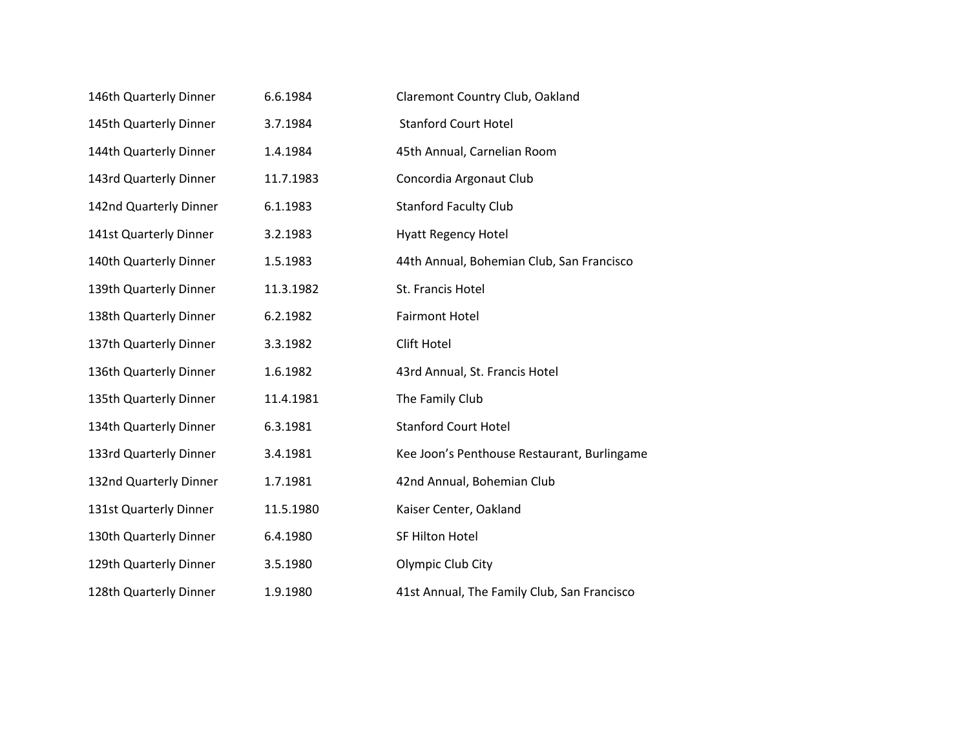| 146th Quarterly Dinner | 6.6.1984  | Claremont Country Club, Oakland             |
|------------------------|-----------|---------------------------------------------|
| 145th Quarterly Dinner | 3.7.1984  | <b>Stanford Court Hotel</b>                 |
| 144th Quarterly Dinner | 1.4.1984  | 45th Annual, Carnelian Room                 |
| 143rd Quarterly Dinner | 11.7.1983 | Concordia Argonaut Club                     |
| 142nd Quarterly Dinner | 6.1.1983  | <b>Stanford Faculty Club</b>                |
| 141st Quarterly Dinner | 3.2.1983  | <b>Hyatt Regency Hotel</b>                  |
| 140th Quarterly Dinner | 1.5.1983  | 44th Annual, Bohemian Club, San Francisco   |
| 139th Quarterly Dinner | 11.3.1982 | St. Francis Hotel                           |
| 138th Quarterly Dinner | 6.2.1982  | <b>Fairmont Hotel</b>                       |
| 137th Quarterly Dinner | 3.3.1982  | Clift Hotel                                 |
| 136th Quarterly Dinner | 1.6.1982  | 43rd Annual, St. Francis Hotel              |
| 135th Quarterly Dinner | 11.4.1981 | The Family Club                             |
| 134th Quarterly Dinner | 6.3.1981  | <b>Stanford Court Hotel</b>                 |
| 133rd Quarterly Dinner | 3.4.1981  | Kee Joon's Penthouse Restaurant, Burlingame |
| 132nd Quarterly Dinner | 1.7.1981  | 42nd Annual, Bohemian Club                  |
| 131st Quarterly Dinner | 11.5.1980 | Kaiser Center, Oakland                      |
| 130th Quarterly Dinner | 6.4.1980  | SF Hilton Hotel                             |
| 129th Quarterly Dinner | 3.5.1980  | Olympic Club City                           |
| 128th Quarterly Dinner | 1.9.1980  | 41st Annual, The Family Club, San Francisco |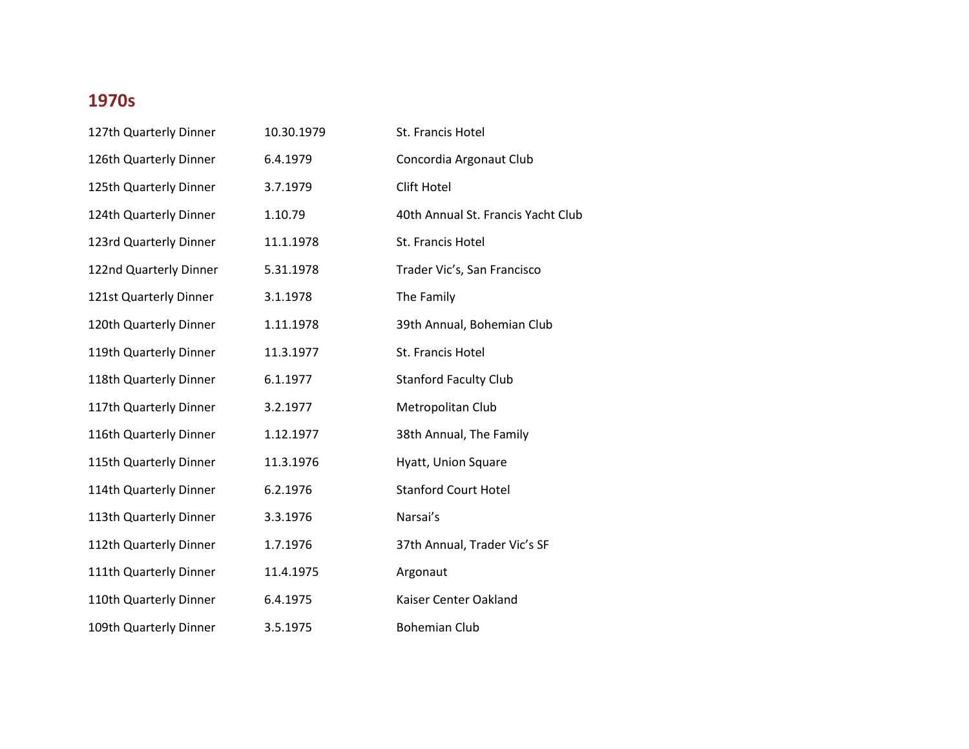| 127th Quarterly Dinner | 10.30.1979 | St. Francis Hotel                  |
|------------------------|------------|------------------------------------|
| 126th Quarterly Dinner | 6.4.1979   | Concordia Argonaut Club            |
| 125th Quarterly Dinner | 3.7.1979   | Clift Hotel                        |
| 124th Quarterly Dinner | 1.10.79    | 40th Annual St. Francis Yacht Club |
| 123rd Quarterly Dinner | 11.1.1978  | St. Francis Hotel                  |
| 122nd Quarterly Dinner | 5.31.1978  | Trader Vic's, San Francisco        |
| 121st Quarterly Dinner | 3.1.1978   | The Family                         |
| 120th Quarterly Dinner | 1.11.1978  | 39th Annual, Bohemian Club         |
| 119th Quarterly Dinner | 11.3.1977  | St. Francis Hotel                  |
| 118th Quarterly Dinner | 6.1.1977   | <b>Stanford Faculty Club</b>       |
| 117th Quarterly Dinner | 3.2.1977   | Metropolitan Club                  |
| 116th Quarterly Dinner | 1.12.1977  | 38th Annual, The Family            |
| 115th Quarterly Dinner | 11.3.1976  | Hyatt, Union Square                |
| 114th Quarterly Dinner | 6.2.1976   | <b>Stanford Court Hotel</b>        |
| 113th Quarterly Dinner | 3.3.1976   | Narsai's                           |
| 112th Quarterly Dinner | 1.7.1976   | 37th Annual, Trader Vic's SF       |
| 111th Quarterly Dinner | 11.4.1975  | Argonaut                           |
| 110th Quarterly Dinner | 6.4.1975   | Kaiser Center Oakland              |
| 109th Quarterly Dinner | 3.5.1975   | <b>Bohemian Club</b>               |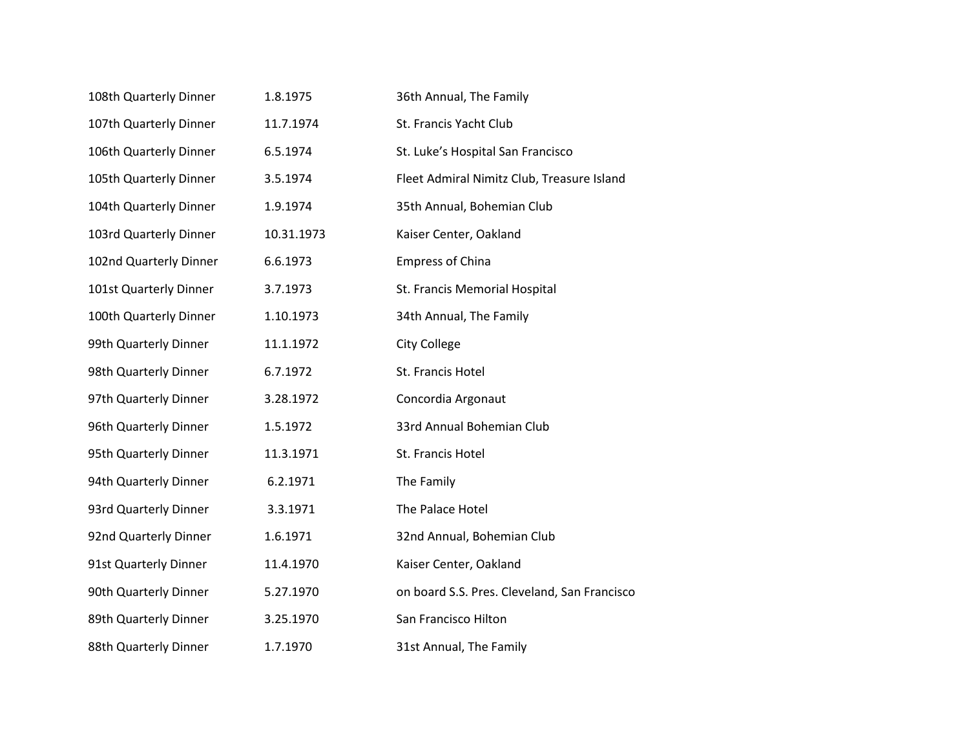| 108th Quarterly Dinner | 1.8.1975   | 36th Annual, The Family                      |
|------------------------|------------|----------------------------------------------|
| 107th Quarterly Dinner | 11.7.1974  | St. Francis Yacht Club                       |
| 106th Quarterly Dinner | 6.5.1974   | St. Luke's Hospital San Francisco            |
| 105th Quarterly Dinner | 3.5.1974   | Fleet Admiral Nimitz Club, Treasure Island   |
| 104th Quarterly Dinner | 1.9.1974   | 35th Annual, Bohemian Club                   |
| 103rd Quarterly Dinner | 10.31.1973 | Kaiser Center, Oakland                       |
| 102nd Quarterly Dinner | 6.6.1973   | <b>Empress of China</b>                      |
| 101st Quarterly Dinner | 3.7.1973   | St. Francis Memorial Hospital                |
| 100th Quarterly Dinner | 1.10.1973  | 34th Annual, The Family                      |
| 99th Quarterly Dinner  | 11.1.1972  | City College                                 |
| 98th Quarterly Dinner  | 6.7.1972   | St. Francis Hotel                            |
| 97th Quarterly Dinner  | 3.28.1972  | Concordia Argonaut                           |
| 96th Quarterly Dinner  | 1.5.1972   | 33rd Annual Bohemian Club                    |
| 95th Quarterly Dinner  | 11.3.1971  | St. Francis Hotel                            |
| 94th Quarterly Dinner  | 6.2.1971   | The Family                                   |
| 93rd Quarterly Dinner  | 3.3.1971   | The Palace Hotel                             |
| 92nd Quarterly Dinner  | 1.6.1971   | 32nd Annual, Bohemian Club                   |
| 91st Quarterly Dinner  | 11.4.1970  | Kaiser Center, Oakland                       |
| 90th Quarterly Dinner  | 5.27.1970  | on board S.S. Pres. Cleveland, San Francisco |
| 89th Quarterly Dinner  | 3.25.1970  | San Francisco Hilton                         |
| 88th Quarterly Dinner  | 1.7.1970   | 31st Annual, The Family                      |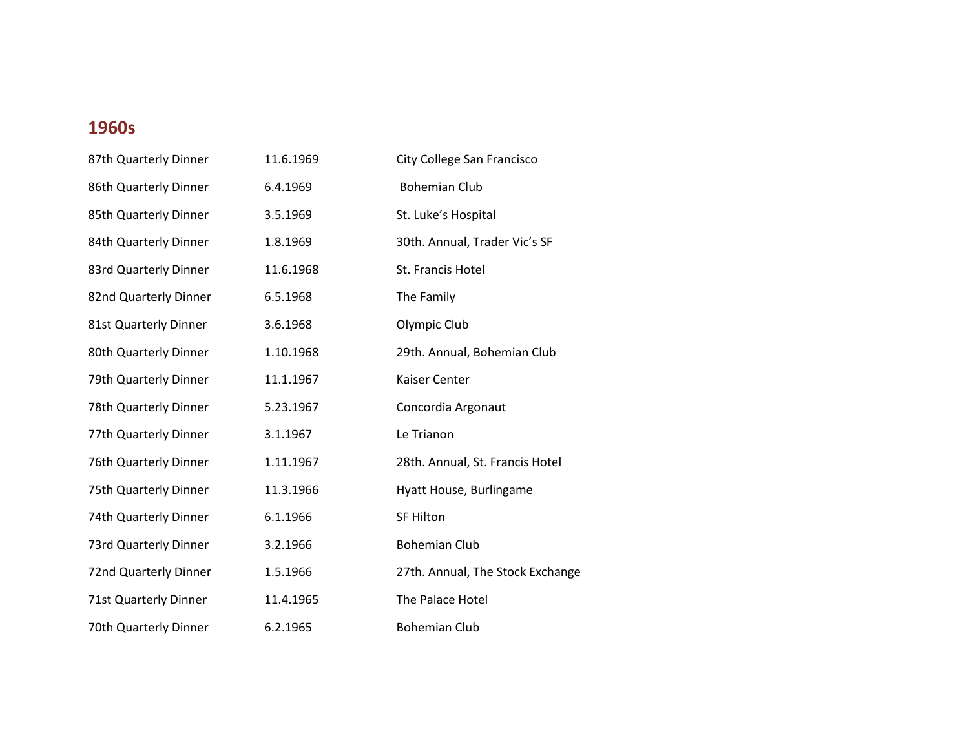| 87th Quarterly Dinner | 11.6.1969 | City College San Francisco       |
|-----------------------|-----------|----------------------------------|
| 86th Quarterly Dinner | 6.4.1969  | <b>Bohemian Club</b>             |
| 85th Quarterly Dinner | 3.5.1969  | St. Luke's Hospital              |
| 84th Quarterly Dinner | 1.8.1969  | 30th. Annual, Trader Vic's SF    |
| 83rd Quarterly Dinner | 11.6.1968 | St. Francis Hotel                |
| 82nd Quarterly Dinner | 6.5.1968  | The Family                       |
| 81st Quarterly Dinner | 3.6.1968  | Olympic Club                     |
| 80th Quarterly Dinner | 1.10.1968 | 29th. Annual, Bohemian Club      |
| 79th Quarterly Dinner | 11.1.1967 | Kaiser Center                    |
| 78th Quarterly Dinner | 5.23.1967 | Concordia Argonaut               |
| 77th Quarterly Dinner | 3.1.1967  | Le Trianon                       |
| 76th Quarterly Dinner | 1.11.1967 | 28th. Annual, St. Francis Hotel  |
| 75th Quarterly Dinner | 11.3.1966 | Hyatt House, Burlingame          |
| 74th Quarterly Dinner | 6.1.1966  | <b>SF Hilton</b>                 |
| 73rd Quarterly Dinner | 3.2.1966  | <b>Bohemian Club</b>             |
| 72nd Quarterly Dinner | 1.5.1966  | 27th. Annual, The Stock Exchange |
| 71st Quarterly Dinner | 11.4.1965 | The Palace Hotel                 |
| 70th Quarterly Dinner | 6.2.1965  | <b>Bohemian Club</b>             |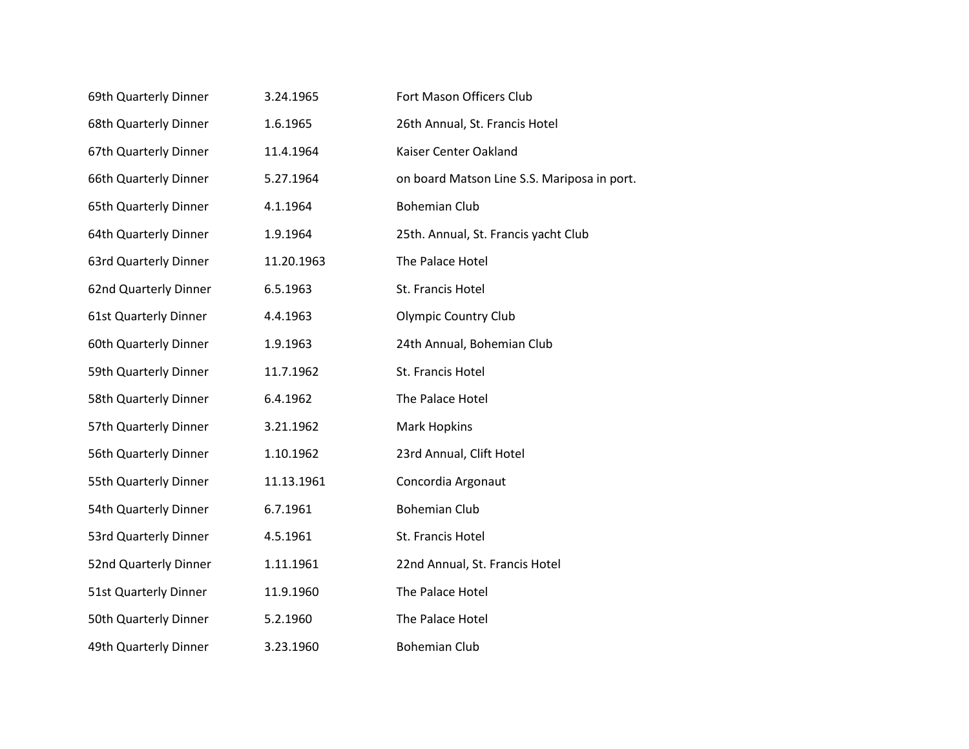| 69th Quarterly Dinner        | 3.24.1965  | Fort Mason Officers Club                    |
|------------------------------|------------|---------------------------------------------|
| 68th Quarterly Dinner        | 1.6.1965   | 26th Annual, St. Francis Hotel              |
| 67th Quarterly Dinner        | 11.4.1964  | Kaiser Center Oakland                       |
| 66th Quarterly Dinner        | 5.27.1964  | on board Matson Line S.S. Mariposa in port. |
| 65th Quarterly Dinner        | 4.1.1964   | <b>Bohemian Club</b>                        |
| 64th Quarterly Dinner        | 1.9.1964   | 25th. Annual, St. Francis yacht Club        |
| 63rd Quarterly Dinner        | 11.20.1963 | The Palace Hotel                            |
| 62nd Quarterly Dinner        | 6.5.1963   | St. Francis Hotel                           |
| <b>61st Quarterly Dinner</b> | 4.4.1963   | <b>Olympic Country Club</b>                 |
| 60th Quarterly Dinner        | 1.9.1963   | 24th Annual, Bohemian Club                  |
| 59th Quarterly Dinner        | 11.7.1962  | St. Francis Hotel                           |
| 58th Quarterly Dinner        | 6.4.1962   | The Palace Hotel                            |
| 57th Quarterly Dinner        | 3.21.1962  | <b>Mark Hopkins</b>                         |
| 56th Quarterly Dinner        | 1.10.1962  | 23rd Annual, Clift Hotel                    |
| 55th Quarterly Dinner        | 11.13.1961 | Concordia Argonaut                          |
| 54th Quarterly Dinner        | 6.7.1961   | <b>Bohemian Club</b>                        |
| 53rd Quarterly Dinner        | 4.5.1961   | St. Francis Hotel                           |
| 52nd Quarterly Dinner        | 1.11.1961  | 22nd Annual, St. Francis Hotel              |
| 51st Quarterly Dinner        | 11.9.1960  | The Palace Hotel                            |
| 50th Quarterly Dinner        | 5.2.1960   | The Palace Hotel                            |
| 49th Quarterly Dinner        | 3.23.1960  | <b>Bohemian Club</b>                        |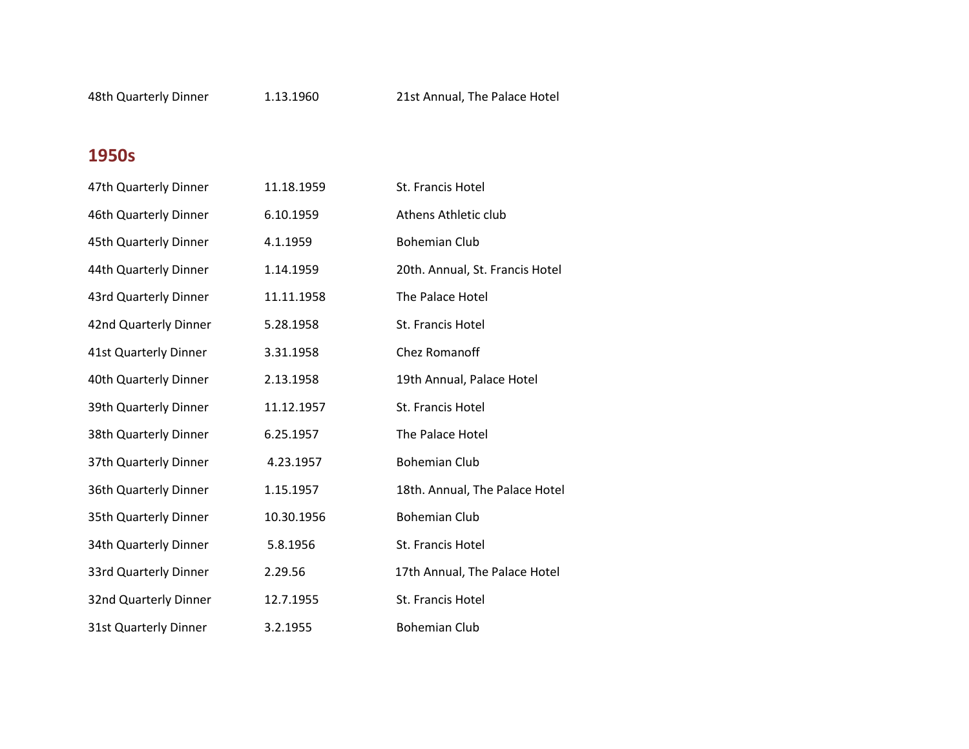| 47th Quarterly Dinner | 11.18.1959 | St. Francis Hotel               |
|-----------------------|------------|---------------------------------|
| 46th Quarterly Dinner | 6.10.1959  | Athens Athletic club            |
| 45th Quarterly Dinner | 4.1.1959   | <b>Bohemian Club</b>            |
| 44th Quarterly Dinner | 1.14.1959  | 20th. Annual, St. Francis Hotel |
| 43rd Quarterly Dinner | 11.11.1958 | The Palace Hotel                |
| 42nd Quarterly Dinner | 5.28.1958  | St. Francis Hotel               |
| 41st Quarterly Dinner | 3.31.1958  | Chez Romanoff                   |
| 40th Quarterly Dinner | 2.13.1958  | 19th Annual, Palace Hotel       |
| 39th Quarterly Dinner | 11.12.1957 | St. Francis Hotel               |
| 38th Quarterly Dinner | 6.25.1957  | The Palace Hotel                |
| 37th Quarterly Dinner | 4.23.1957  | <b>Bohemian Club</b>            |
| 36th Quarterly Dinner | 1.15.1957  | 18th. Annual, The Palace Hotel  |
| 35th Quarterly Dinner | 10.30.1956 | <b>Bohemian Club</b>            |
| 34th Quarterly Dinner | 5.8.1956   | St. Francis Hotel               |
| 33rd Quarterly Dinner | 2.29.56    | 17th Annual, The Palace Hotel   |
| 32nd Quarterly Dinner | 12.7.1955  | St. Francis Hotel               |
| 31st Quarterly Dinner | 3.2.1955   | <b>Bohemian Club</b>            |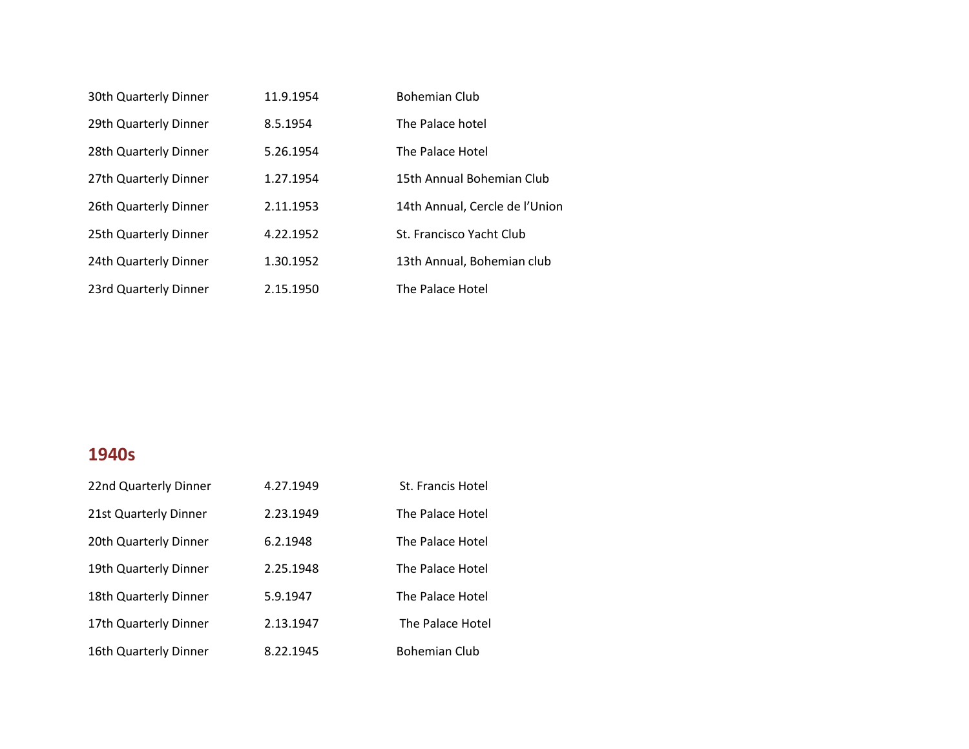| 30th Quarterly Dinner | 11.9.1954 | <b>Bohemian Club</b>           |
|-----------------------|-----------|--------------------------------|
| 29th Quarterly Dinner | 8.5.1954  | The Palace hotel               |
| 28th Quarterly Dinner | 5.26.1954 | The Palace Hotel               |
| 27th Quarterly Dinner | 1.27.1954 | 15th Annual Bohemian Club      |
| 26th Quarterly Dinner | 2.11.1953 | 14th Annual, Cercle de l'Union |
| 25th Quarterly Dinner | 4.22.1952 | St. Francisco Yacht Club       |
| 24th Quarterly Dinner | 1.30.1952 | 13th Annual, Bohemian club     |
| 23rd Quarterly Dinner | 2.15.1950 | The Palace Hotel               |

| 22nd Quarterly Dinner | 4.27.1949 | St. Francis Hotel    |
|-----------------------|-----------|----------------------|
| 21st Quarterly Dinner | 2.23.1949 | The Palace Hotel     |
| 20th Quarterly Dinner | 6.2.1948  | The Palace Hotel     |
| 19th Quarterly Dinner | 2.25.1948 | The Palace Hotel     |
| 18th Quarterly Dinner | 5.9.1947  | The Palace Hotel     |
| 17th Quarterly Dinner | 2.13.1947 | The Palace Hotel     |
| 16th Quarterly Dinner | 8.22.1945 | <b>Bohemian Club</b> |